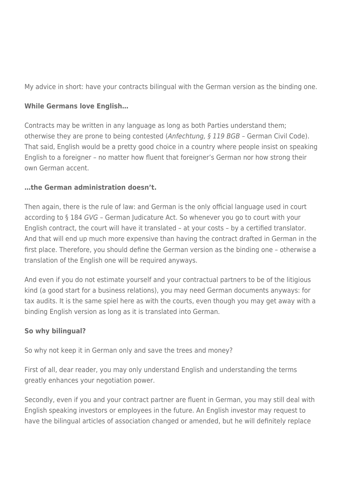My advice in short: have your contracts bilingual with the German version as the binding one.

## **While Germans love English…**

Contracts may be written in any language as long as both Parties understand them; otherwise they are prone to being contested (Anfechtung, § 119 BGB – German Civil Code). That said, English would be a pretty good choice in a country where people insist on speaking English to a foreigner – no matter how fluent that foreigner's German nor how strong their own German accent.

## **…the German administration doesn't.**

Then again, there is the rule of law: and German is the only official language used in court according to § 184 GVG – German Judicature Act. So whenever you go to court with your English contract, the court will have it translated – at your costs – by a certified translator. And that will end up much more expensive than having the contract drafted in German in the first place. Therefore, you should define the German version as the binding one – otherwise a translation of the English one will be required anyways.

And even if you do not estimate yourself and your contractual partners to be of the litigious kind (a good start for a business relations), you may need German documents anyways: for tax audits. It is the same spiel here as with the courts, even though you may get away with a binding English version as long as it is translated into German.

## **So why bilingual?**

So why not keep it in German only and save the trees and money?

First of all, dear reader, you may only understand English and understanding the terms greatly enhances your negotiation power.

Secondly, even if you and your contract partner are fluent in German, you may still deal with English speaking investors or employees in the future. An English investor may request to have the bilingual articles of association changed or amended, but he will definitely replace